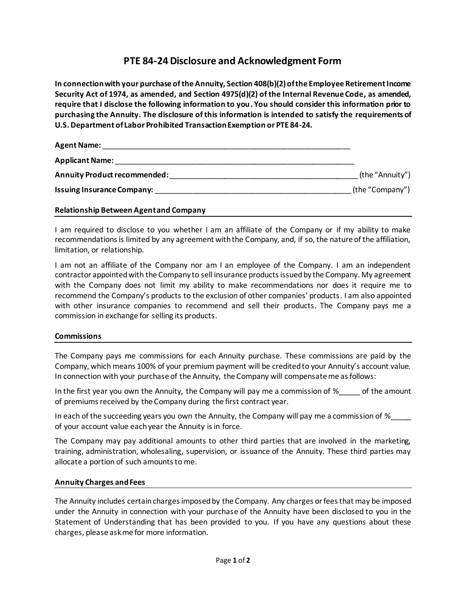# **PTE 84-24 Disclosure and Acknowledgment Form**

**In connection with your purchase of the Annuity, Section 408(b)(2) of the Employee Retirement Income Security Act of 1974, as amended, and Section 4975(d)(2) of the Internal Revenue Code, as amended, require that I disclose the following information to you. You should consider this information prior to purchasing the Annuity. The disclosure of this information is intended to satisfy the requirements of U.S. Department of Labor Prohibited Transaction Exemption or PTE 84-24.**

| <b>Agent Name:</b>                  |                 |
|-------------------------------------|-----------------|
| <b>Applicant Name:</b>              |                 |
| <b>Annuity Product recommended:</b> | (the "Annuity") |
| <b>Issuing Insurance Company:</b>   | (the "Company") |
|                                     |                 |

## **Relationship Between Agentand Company**

I am required to disclose to you whether I am an affiliate of the Company or if my ability to make recommendations is limited by any agreement with the Company, and, if so, the nature of the affiliation, limitation, or relationship.

I am not an affiliate of the Company nor am I an employee of the Company. I am an independent contractor appointed with the Company to sell insurance products issued by the Company. My agreement with the Company does not limit my ability to make recommendations nor does it require me to recommend the Company's products to the exclusion of other companies' products. I am also appointed with other insurance companies to recommend and sell their products. The Company pays me a commission in exchange for selling its products.

#### **Commissions**

The Company pays me commissions for each Annuity purchase. These commissions are paid by the Company, which means 100% of your premium payment will be credited to your Annuity's account value. In connection with your purchase of the Annuity, the Company will compensate me as follows:

In the first year you own the Annuity, the Company will pay me a commission of  $\%$  \_\_\_\_ of the amount of premiums received by the Company during the first contract year.

In each of the succeeding years you own the Annuity, the Company will pay me a commission of  $\%$ of your account value each year the Annuity is in force.

The Company may pay additional amounts to other third parties that are involved in the marketing, training, administration, wholesaling, supervision, or issuance of the Annuity. These third parties may allocate a portion of such amounts to me.

#### **Annuity Charges and Fees**

The Annuity includes certain charges imposed by the Company. Any charges or fees that may be imposed under the Annuity in connection with your purchase of the Annuity have been disclosed to you in the Statement of Understanding that has been provided to you. If you have any questions about these charges, please ask me for more information.